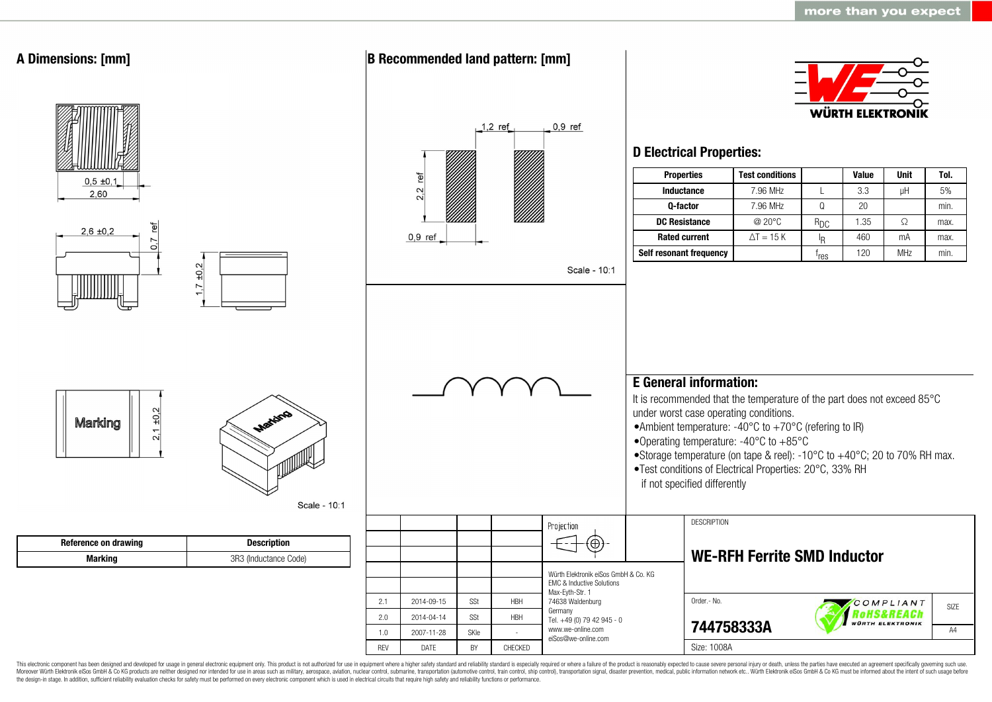

This electronic component has been designed and developed for usage in general electronic equipment only. This product is not authorized for use in equipment where a higher safety standard and reliability standard is espec Moreover Würth Elektronik eiSos GmbH & Co KG products are neither designed nor intended for use in areas such as military, aerospace, aviation, nuclear control, submarine, transportation (automotive control, ship control), the design-in stage. In addition, sufficient reliability evaluation checks for safety must be performed on every electronic component which is used in electrical circuits that require high safety and reliability functions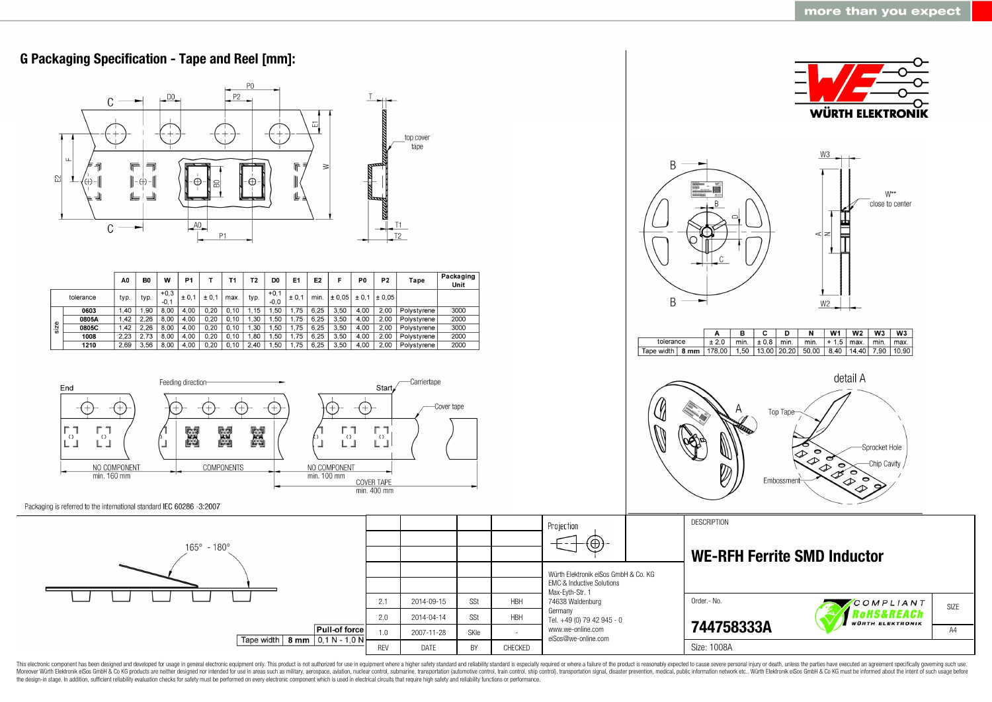

This electronic component has been designed and developed for usage in general electronic equipment only. This product is not authorized for use in equipment where a higher safety standard and reliability standard as espec Moreover Würth Elektronik eiSos GmbH & Co KG products are neither designed nor intended for use in areas such as military, aerospace, aviation, nuclear control, submarine, transportation (automotive control, ship control), the design-in stage. In addition, sufficient reliability evaluation checks for safety must be performed on every electronic component which is used in electrical circuits that require high safety and reliability functions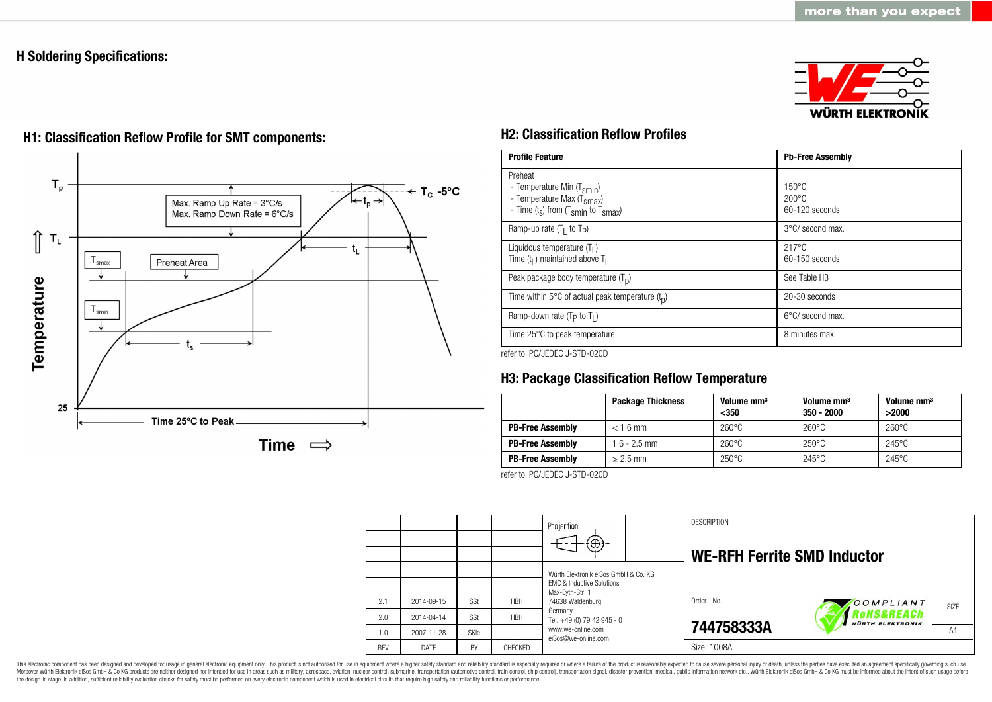# **H Soldering Specifications:**





# **H1: Classification Reflow Profile for SMT components: H2: Classification Reflow Profiles**

| <b>Profile Feature</b>                                                                                                                        | <b>Pb-Free Assembly</b>                             |
|-----------------------------------------------------------------------------------------------------------------------------------------------|-----------------------------------------------------|
| Preheat<br>- Temperature Min (T <sub>smin</sub> )<br>- Temperature Max (T <sub>Smax</sub> )<br>- Time $(t_s)$ from $(T_{smin}$ to $T_{smax})$ | $150^{\circ}$ C<br>$200\degree C$<br>60-120 seconds |
| Ramp-up rate $(T_1$ to $T_p$ )                                                                                                                | 3°C/ second max.                                    |
| Liquidous temperature $(T1)$<br>Time $(tl)$ maintained above T <sub>1</sub>                                                                   | $217^{\circ}$ C<br>60-150 seconds                   |
| Peak package body temperature $(Tp)$                                                                                                          | See Table H <sub>3</sub>                            |
| Time within 5°C of actual peak temperature $(t_n)$                                                                                            | 20-30 seconds                                       |
| Ramp-down rate ( $T_P$ to $T_I$ )                                                                                                             | $6^{\circ}$ C/ second max.                          |
| Time 25°C to peak temperature                                                                                                                 | 8 minutes max.                                      |

refer to IPC/JEDEC J-STD-020D

# **H3: Package Classification Reflow Temperature**

|                         | <b>Package Thickness</b> | Volume mm <sup>3</sup><br>$350$ | Volume mm <sup>3</sup><br>$350 - 2000$ | Volume mm <sup>3</sup><br>>2000 |
|-------------------------|--------------------------|---------------------------------|----------------------------------------|---------------------------------|
| <b>PB-Free Assembly</b> | $< 1.6$ mm               | $260^{\circ}$ C                 | $260^{\circ}$ C                        | $260^{\circ}$ C                 |
| <b>PB-Free Assembly</b> | $1.6 - 2.5$ mm           | $260^{\circ}$ C                 | $250^{\circ}$ C                        | $245^{\circ}$ C                 |
| <b>PB-Free Assembly</b> | $> 2.5$ mm               | $250^{\circ}$ C                 | $245^{\circ}$ C                        | $245^{\circ}$ C                 |

refer to IPC/JEDEC J-STD-020D

|            |            |      |            | Projection<br>$\Theta$ )                                                                                            |  | <b>DESCRIPTION</b><br><b>WE-RFH Ferrite SMD Inductor</b> |                                       |      |
|------------|------------|------|------------|---------------------------------------------------------------------------------------------------------------------|--|----------------------------------------------------------|---------------------------------------|------|
|            |            |      |            | Würth Elektronik eiSos GmbH & Co. KG<br><b>EMC &amp; Inductive Solutions</b><br>Max-Eyth-Str. 1<br>74638 Waldenburg |  |                                                          |                                       |      |
| 2.1        | 2014-09-15 | SSt  | <b>HBH</b> |                                                                                                                     |  | Order .- No.                                             | COMPLIANT                             | SIZE |
| 2.0        | 2014-04-14 | SSt  | <b>HBH</b> | Germany<br>Tel. +49 (0) 79 42 945 - 0                                                                               |  |                                                          | RoHS&REACh<br><b>WÜRTH ELEKTRONIK</b> |      |
| 1.0        | 2007-11-28 | SKIe |            | www.we-online.com<br>eiSos@we-online.com                                                                            |  | 744758333A                                               |                                       | AA   |
| <b>RFV</b> | DATE       | BY   | CHECKED    |                                                                                                                     |  | Size: 1008A                                              |                                       |      |

This electronic component has been designed and developed for usage in general electronic equipment only. This product is not authorized for use in equipment where a higher safety standard and reliability standard is espec Moreover Würth Elektronik eiSos GmbH & Co KG products are neither designed nor intended for use in areas such as military, aerospace, aviation, nuclear control, submarine, transportation (automotive control), stain control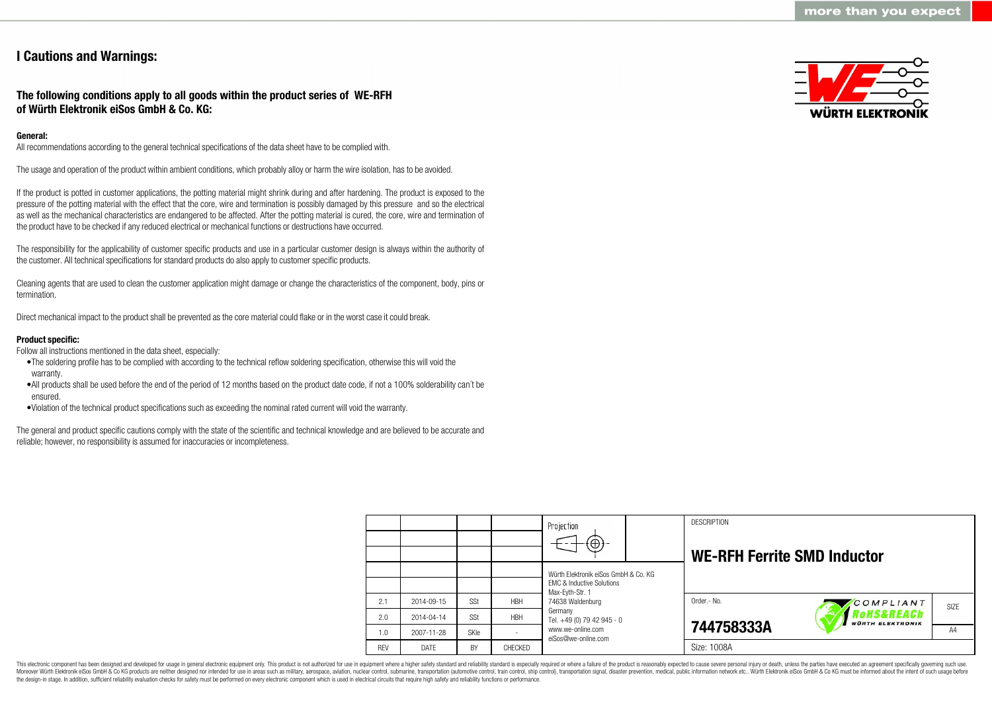# **I Cautions and Warnings:**

## **The following conditions apply to all goods within the product series of WE-RFH of Würth Elektronik eiSos GmbH & Co. KG:**

## **General:**

All recommendations according to the general technical specifications of the data sheet have to be complied with.

The usage and operation of the product within ambient conditions, which probably alloy or harm the wire isolation, has to be avoided.

If the product is potted in customer applications, the potting material might shrink during and after hardening. The product is exposed to the pressure of the potting material with the effect that the core, wire and termination is possibly damaged by this pressure and so the electrical as well as the mechanical characteristics are endangered to be affected. After the potting material is cured, the core, wire and termination of the product have to be checked if any reduced electrical or mechanical functions or destructions have occurred.

The responsibility for the applicability of customer specific products and use in a particular customer design is always within the authority of the customer. All technical specifications for standard products do also apply to customer specific products.

Cleaning agents that are used to clean the customer application might damage or change the characteristics of the component, body, pins or termination.

Direct mechanical impact to the product shall be prevented as the core material could flake or in the worst case it could break.

## **Product specific:**

Follow all instructions mentioned in the data sheet, especially:

- •The soldering profile has to be complied with according to the technical reflow soldering specification, otherwise this will void the warranty.
- •All products shall be used before the end of the period of 12 months based on the product date code, if not a 100% solderability can´t be ensured.
- •Violation of the technical product specifications such as exceeding the nominal rated current will void the warranty.

The general and product specific cautions comply with the state of the scientific and technical knowledge and are believed to be accurate and reliable; however, no responsibility is assumed for inaccuracies or incompleteness.



|            |            |             |            | Projection                                                                   |  | <b>DESCRIPTION</b>                 |                                                  |                   |
|------------|------------|-------------|------------|------------------------------------------------------------------------------|--|------------------------------------|--------------------------------------------------|-------------------|
|            |            |             |            | $\textcircled{\scriptsize\textcircled{\scriptsize\textcirc}}$                |  | <b>WE-RFH Ferrite SMD Inductor</b> |                                                  |                   |
|            |            |             |            | Würth Elektronik eiSos GmbH & Co. KG<br><b>EMC &amp; Inductive Solutions</b> |  |                                    |                                                  |                   |
| 2.1        | 2014-09-15 | SSt         | <b>HBH</b> | Max-Evth-Str. 1<br>74638 Waldenburg                                          |  | Order.- No.                        | COMPLIANT                                        | SI <sub>7</sub> F |
| 2.0        | 2014-04-14 | SSt         | <b>HBH</b> | Germany<br>Tel. +49 (0) 79 42 945 - 0                                        |  |                                    | <b>'oHS&amp;REACh</b><br><b>WÜRTH ELEKTRONIK</b> |                   |
| 1.0        | 2007-11-28 | <b>SKIe</b> |            | www.we-online.com<br>eiSos@we-online.com                                     |  | 744758333A                         |                                                  | A4                |
| <b>REV</b> | DATE       | BY          | CHECKED    |                                                                              |  | Size: 1008A                        |                                                  |                   |

This electronic component has been designed and developed for usage in general electronic equipment only. This product is not authorized for use in equipment where a higher safety standard and reliability standard is espec Moreover Würth Elektronik eiSos GmbH & Co KG products are neither designed nor intended for use in areas such as military, aerospace, aviation, nuclear control, submarine, transportation (automotive control), tain control) the design-in stage. In addition, sufficient reliability evaluation checks for safety must be performed on every electronic component which is used in electrical circuits that require high safety and reliability functions